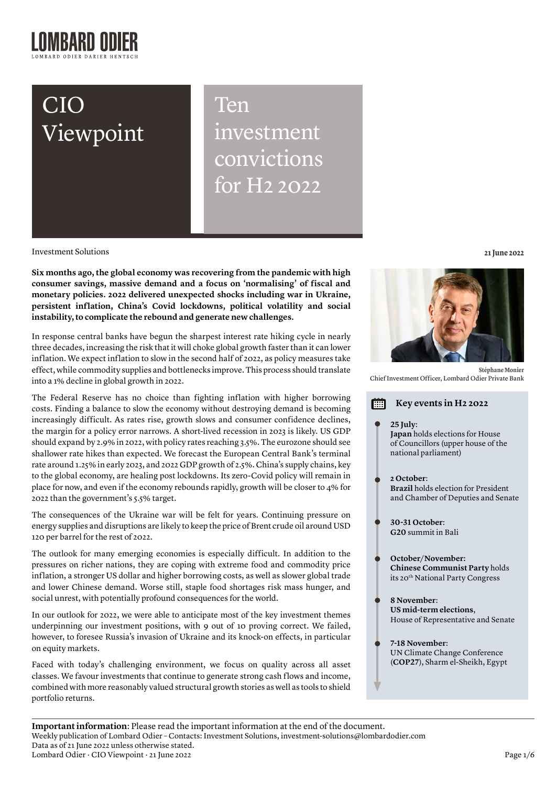# CIO Viewpoint

Ten investment convictions for H2 2022

Investment Solutions **21 June 2022**

**Six months ago, the global economy was recovering from the pandemic with high consumer savings, massive demand and a focus on 'normalising' of fiscal and monetary policies. 2022 delivered unexpected shocks including war in Ukraine, persistent inflation, China's Covid lockdowns, political volatility and social instability, to complicate the rebound and generate new challenges.**

In response central banks have begun the sharpest interest rate hiking cycle in nearly three decades, increasing the risk that it will choke global growth faster than it can lower inflation. We expect inflation to slow in the second half of 2022, as policy measures take effect, while commodity supplies and bottlenecks improve. This process should translate into a 1% decline in global growth in 2022.

The Federal Reserve has no choice than fighting inflation with higher borrowing costs. Finding a balance to slow the economy without destroying demand is becoming increasingly difficult. As rates rise, growth slows and consumer confidence declines, the margin for a policy error narrows. A short-lived recession in 2023 is likely. US GDP should expand by 2.9% in 2022, with policy rates reaching 3.5%. The eurozone should see shallower rate hikes than expected. We forecast the European Central Bank's terminal rate around 1.25% in early 2023, and 2022 GDP growth of 2.5%. China's supply chains, key to the global economy, are healing post lockdowns. Its zero-Covid policy will remain in place for now, and even if the economy rebounds rapidly, growth will be closer to 4% for 2022 than the government's 5.5% target.

The consequences of the Ukraine war will be felt for years. Continuing pressure on energy supplies and disruptions are likely to keep the price of Brent crude oil around USD 120 per barrel for the rest of 2022.

The outlook for many emerging economies is especially difficult. In addition to the pressures on richer nations, they are coping with extreme food and commodity price inflation, a stronger US dollar and higher borrowing costs, as well as slower global trade and lower Chinese demand. Worse still, staple food shortages risk mass hunger, and social unrest, with potentially profound consequences for the world.

In our outlook for 2022, we were able to anticipate most of the key investment themes underpinning our investment positions, with 9 out of 10 proving correct. We failed, however, to foresee Russia's invasion of Ukraine and its knock-on effects, in particular on equity markets.

Faced with today's challenging environment, we focus on quality across all asset classes. We favour investments that continue to generate strong cash flows and income, combined with more reasonably valued structural growth stories as well as tools to shield portfolio returns.



**Stéphane Monier**  Chief Investment Officer, Lombard Odier Private Bank

| Key events in H2 2022                                                                                     |
|-----------------------------------------------------------------------------------------------------------|
| 25 July:<br>Japan holds elections for House<br>of Councillors (upper house of the<br>national parliament) |
| 2 October:<br><b>Brazil</b> holds election for President<br>and Chamber of Deputies and Senate            |
| 30-31 October:<br>G20 summit in Bali                                                                      |
| October/November:<br><b>Chinese Communist Party holds</b><br>its 20 <sup>th</sup> National Party Congress |
| 8 November:<br>US mid-term elections,<br>House of Representative and Senate                               |
| 7-18 November:<br>UN Climate Change Conference<br>(COP27), Sharm el-Sheikh, Egypt                         |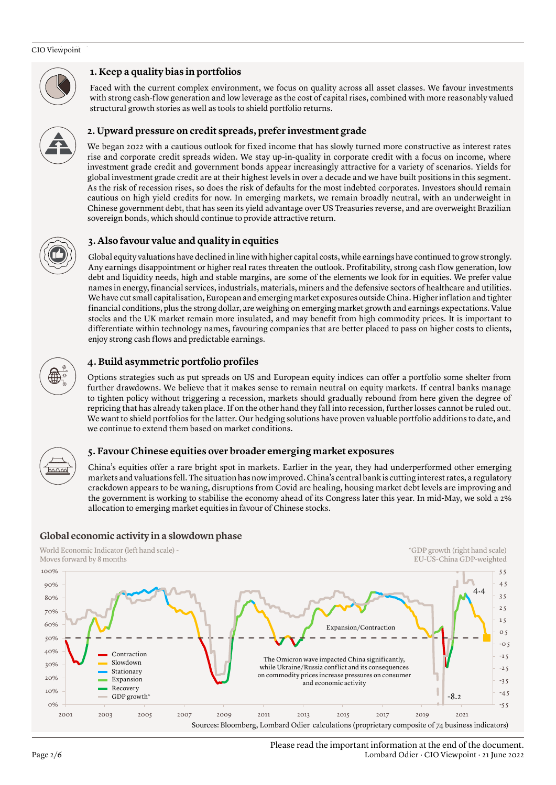#### CIO Viewpoint



# **1. Keep a quality bias in portfolios**

Faced with the current complex environment, we focus on quality across all asset classes. We favour investments with strong cash-flow generation and low leverage as the cost of capital rises, combined with more reasonably valued structural growth stories as well as tools to shield portfolio returns.



We began 2022 with a cautious outlook for fixed income that has slowly turned more constructive as interest rates rise and corporate credit spreads widen. We stay up-in-quality in corporate credit with a focus on income, where investment grade credit and government bonds appear increasingly attractive for a variety of scenarios. Yields for global investment grade credit are at their highest levels in over a decade and we have built positions in this segment. As the risk of recession rises, so does the risk of defaults for the most indebted corporates. Investors should remain cautious on high yield credits for now. In emerging markets, we remain broadly neutral, with an underweight in Chinese government debt, that has seen its yield advantage over US Treasuries reverse, and are overweight Brazilian sovereign bonds, which should continue to provide attractive return.

# **3. Also favour value and quality in equities**

Global equity valuations have declined in line with higher capital costs, while earnings have continued to grow strongly. Any earnings disappointment or higher real rates threaten the outlook. Profitability, strong cash flow generation, low debt and liquidity needs, high and stable margins, are some of the elements we look for in equities. We prefer value names in energy, financial services, industrials, materials, miners and the defensive sectors of healthcare and utilities. We have cut small capitalisation, European and emerging market exposures outside China. Higher inflation and tighter financial conditions, plus the strong dollar, are weighing on emerging market growth and earnings expectations. Value stocks and the UK market remain more insulated, and may benefit from high commodity prices. It is important to differentiate within technology names, favouring companies that are better placed to pass on higher costs to clients, enjoy strong cash flows and predictable earnings.



# **4. Build asymmetric portfolio profiles**

Options strategies such as put spreads on US and European equity indices can offer a portfolio some shelter from further drawdowns. We believe that it makes sense to remain neutral on equity markets. If central banks manage to tighten policy without triggering a recession, markets should gradually rebound from here given the degree of repricing that has already taken place. If on the other hand they fall into recession, further losses cannot be ruled out. We want to shield portfolios for the latter. Our hedging solutions have proven valuable portfolio additions to date, and we continue to extend them based on market conditions.



# **5. Favour Chinese equities over broader emerging market exposures**

China's equities offer a rare bright spot in markets. Earlier in the year, they had underperformed other emerging markets and valuations fell. The situation has now improved. China's central bank is cutting interest rates, a regulatory crackdown appears to be waning, disruptions from Covid are healing, housing market debt levels are improving and the government is working to stabilise the economy ahead of its Congress later this year. In mid-May, we sold a 2% allocation to emerging market equities in favour of Chinese stocks.



World Economic Indicator (left hand scale) -

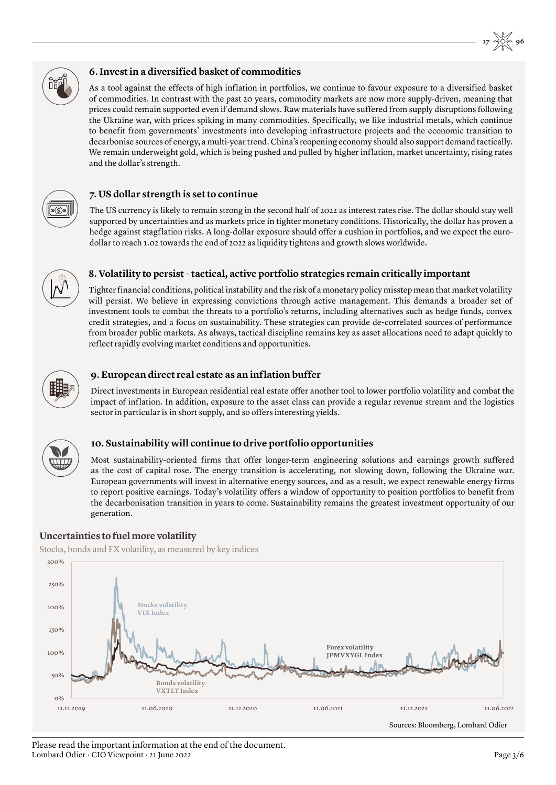

# **6. Invest in a diversified basket of commodities**

As a tool against the effects of high inflation in portfolios, we continue to favour exposure to a diversified basket of commodities. In contrast with the past 20 years, commodity markets are now more supply-driven, meaning that prices could remain supported even if demand slows. Raw materials have suffered from supply disruptions following the Ukraine war, with prices spiking in many commodities. Specifically, we like industrial metals, which continue to benefit from governments' investments into developing infrastructure projects and the economic transition to decarbonise sources of energy, a multi-year trend. China's reopening economy should also support demand tactically. We remain underweight gold, which is being pushed and pulled by higher inflation, market uncertainty, rising rates and the dollar's strength.



# **7. US dollar strength is set to continue**

The US currency is likely to remain strong in the second half of 2022 as interest rates rise. The dollar should stay well supported by uncertainties and as markets price in tighter monetary conditions. Historically, the dollar has proven a hedge against stagflation risks. A long-dollar exposure should offer a cushion in portfolios, and we expect the eurodollar to reach 1.02 towards the end of 2022 as liquidity tightens and growth slows worldwide.



# **8. Volatility to persist – tactical, active portfolio strategies remain critically important**

Tighter financial conditions, political instability and the risk of a monetary policy misstep mean that market volatility will persist. We believe in expressing convictions through active management. This demands a broader set of investment tools to combat the threats to a portfolio's returns, including alternatives such as hedge funds, convex credit strategies, and a focus on sustainability. These strategies can provide de-correlated sources of performance from broader public markets. As always, tactical discipline remains key as asset allocations need to adapt quickly to reflect rapidly evolving market conditions and opportunities.



# **9. European direct real estate as an inflation buffer**

Direct investments in European residential real estate offer another tool to lower portfolio volatility and combat the impact of inflation. In addition, exposure to the asset class can provide a regular revenue stream and the logistics sector in particular is in short supply, and so offers interesting yields.



# **10. Sustainability will continue to drive portfolio opportunities**

Most sustainability-oriented firms that offer longer-term engineering solutions and earnings growth suffered as the cost of capital rose. The energy transition is accelerating, not slowing down, following the Ukraine war. European governments will invest in alternative energy sources, and as a result, we expect renewable energy firms to report positive earnings. Today's volatility offers a window of opportunity to position portfolios to benefit from the decarbonisation transition in years to come. Sustainability remains the greatest investment opportunity of our generation.

# **Uncertainties to fuel more volatility**

Stocks, bonds and FX volatility, as measured by key indices



#### Please read the important information at the end of the document. Lombard Odier · CIO Viewpoint · 21 June 2022 Page 3/6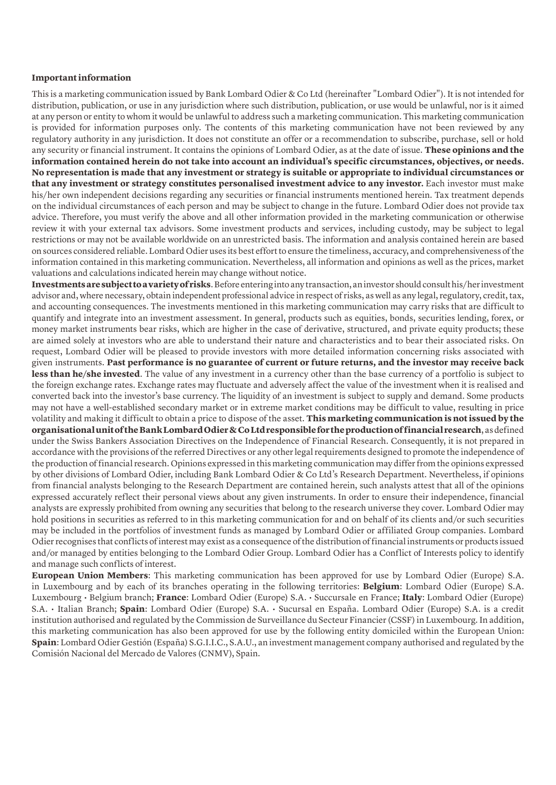### **Important information**

This is a marketing communication issued by Bank Lombard Odier & Co Ltd (hereinafter "Lombard Odier"). It is not intended for distribution, publication, or use in any jurisdiction where such distribution, publication, or use would be unlawful, nor is it aimed at any person or entity to whom it would be unlawful to address such a marketing communication. This marketing communication is provided for information purposes only. The contents of this marketing communication have not been reviewed by any regulatory authority in any jurisdiction. It does not constitute an offer or a recommendation to subscribe, purchase, sell or hold any security or financial instrument. It contains the opinions of Lombard Odier, as at the date of issue. **These opinions and the information contained herein do not take into account an individual's specific circumstances, objectives, or needs. No representation is made that any investment or strategy is suitable or appropriate to individual circumstances or that any investment or strategy constitutes personalised investment advice to any investor.** Each investor must make his/her own independent decisions regarding any securities or financial instruments mentioned herein. Tax treatment depends on the individual circumstances of each person and may be subject to change in the future. Lombard Odier does not provide tax advice. Therefore, you must verify the above and all other information provided in the marketing communication or otherwise review it with your external tax advisors. Some investment products and services, including custody, may be subject to legal restrictions or may not be available worldwide on an unrestricted basis. The information and analysis contained herein are based on sources considered reliable. Lombard Odier uses its best effort to ensure the timeliness, accuracy, and comprehensiveness of the information contained in this marketing communication. Nevertheless, all information and opinions as well as the prices, market valuations and calculations indicated herein may change without notice.

**Investments are subject to a variety of risks**. Before entering into any transaction, an investor should consult his/her investment advisor and, where necessary, obtain independent professional advice in respect of risks, as well as any legal, regulatory, credit, tax, and accounting consequences. The investments mentioned in this marketing communication may carry risks that are difficult to quantify and integrate into an investment assessment. In general, products such as equities, bonds, securities lending, forex, or money market instruments bear risks, which are higher in the case of derivative, structured, and private equity products; these are aimed solely at investors who are able to understand their nature and characteristics and to bear their associated risks. On request, Lombard Odier will be pleased to provide investors with more detailed information concerning risks associated with given instruments. **Past performance is no guarantee of current or future returns, and the investor may receive back less than he/she invested**. The value of any investment in a currency other than the base currency of a portfolio is subject to the foreign exchange rates. Exchange rates may fluctuate and adversely affect the value of the investment when it is realised and converted back into the investor's base currency. The liquidity of an investment is subject to supply and demand. Some products may not have a well-established secondary market or in extreme market conditions may be difficult to value, resulting in price volatility and making it difficult to obtain a price to dispose of the asset. **This marketing communication is not issued by the organisational unit of the Bank Lombard Odier & Co Ltd responsible for the production of financial research**, as defined under the Swiss Bankers Association Directives on the Independence of Financial Research. Consequently, it is not prepared in accordance with the provisions of the referred Directives or any other legal requirements designed to promote the independence of the production of financial research. Opinions expressed in this marketing communication may differ from the opinions expressed by other divisions of Lombard Odier, including Bank Lombard Odier & Co Ltd's Research Department. Nevertheless, if opinions from financial analysts belonging to the Research Department are contained herein, such analysts attest that all of the opinions expressed accurately reflect their personal views about any given instruments. In order to ensure their independence, financial analysts are expressly prohibited from owning any securities that belong to the research universe they cover. Lombard Odier may hold positions in securities as referred to in this marketing communication for and on behalf of its clients and/or such securities may be included in the portfolios of investment funds as managed by Lombard Odier or affiliated Group companies. Lombard Odier recognises that conflicts of interest may exist as a consequence of the distribution of financial instruments or products issued and/or managed by entities belonging to the Lombard Odier Group. Lombard Odier has a Conflict of Interests policy to identify and manage such conflicts of interest.

**European Union Members**: This marketing communication has been approved for use by Lombard Odier (Europe) S.A. in Luxembourg and by each of its branches operating in the following territories: **Belgium**: Lombard Odier (Europe) S.A. Luxembourg • Belgium branch; **France**: Lombard Odier (Europe) S.A. • Succursale en France; **Italy**: Lombard Odier (Europe) S.A. • Italian Branch; **Spain**: Lombard Odier (Europe) S.A. • Sucursal en España. Lombard Odier (Europe) S.A. is a credit institution authorised and regulated by the Commission de Surveillance du Secteur Financier (CSSF) in Luxembourg. In addition, this marketing communication has also been approved for use by the following entity domiciled within the European Union: **Spain**: Lombard Odier Gestión (España) S.G.I.I.C., S.A.U., an investment management company authorised and regulated by the Comisión Nacional del Mercado de Valores (CNMV), Spain.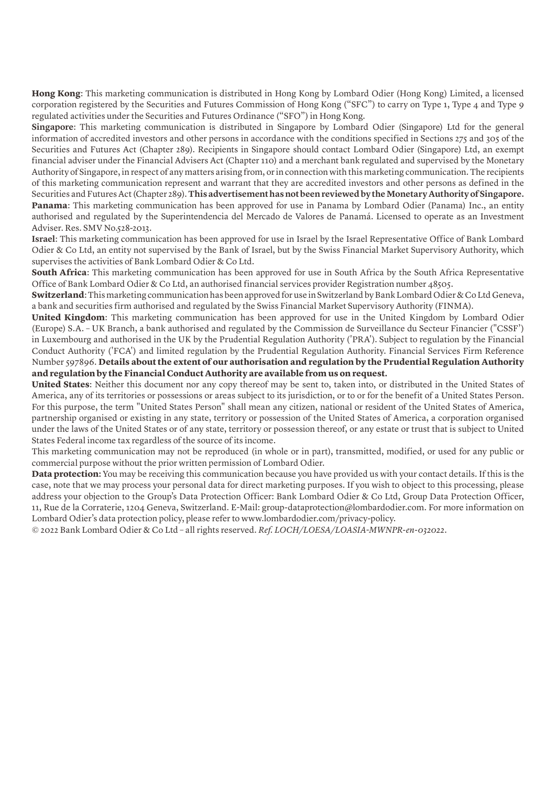**Hong Kong**: This marketing communication is distributed in Hong Kong by Lombard Odier (Hong Kong) Limited, a licensed corporation registered by the Securities and Futures Commission of Hong Kong ("SFC") to carry on Type 1, Type 4 and Type 9 regulated activities under the Securities and Futures Ordinance ("SFO") in Hong Kong.

**Singapore**: This marketing communication is distributed in Singapore by Lombard Odier (Singapore) Ltd for the general information of accredited investors and other persons in accordance with the conditions specified in Sections 275 and 305 of the Securities and Futures Act (Chapter 289). Recipients in Singapore should contact Lombard Odier (Singapore) Ltd, an exempt financial adviser under the Financial Advisers Act (Chapter 110) and a merchant bank regulated and supervised by the Monetary Authority of Singapore, in respect of any matters arising from, or in connection with this marketing communication. The recipients of this marketing communication represent and warrant that they are accredited investors and other persons as defined in the Securities and Futures Act (Chapter 289). **This advertisement has not been reviewed by the Monetary Authority of Singapore. Panama**: This marketing communication has been approved for use in Panama by Lombard Odier (Panama) Inc., an entity authorised and regulated by the Superintendencia del Mercado de Valores de Panamá. Licensed to operate as an Investment Adviser. Res. SMV No.528-2013.

**Israel**: This marketing communication has been approved for use in Israel by the Israel Representative Office of Bank Lombard Odier & Co Ltd, an entity not supervised by the Bank of Israel, but by the Swiss Financial Market Supervisory Authority, which supervises the activities of Bank Lombard Odier & Co Ltd.

**South Africa**: This marketing communication has been approved for use in South Africa by the South Africa Representative Office of Bank Lombard Odier & Co Ltd, an authorised financial services provider Registration number 48505.

**Switzerland**: This marketing communication has been approved for use in Switzerland by Bank Lombard Odier & Co Ltd Geneva, a bank and securities firm authorised and regulated by the Swiss Financial Market Supervisory Authority (FINMA).

**United Kingdom**: This marketing communication has been approved for use in the United Kingdom by Lombard Odier (Europe) S.A. – UK Branch, a bank authorised and regulated by the Commission de Surveillance du Secteur Financier ("CSSF') in Luxembourg and authorised in the UK by the Prudential Regulation Authority ('PRA'). Subject to regulation by the Financial Conduct Authority ('FCA') and limited regulation by the Prudential Regulation Authority. Financial Services Firm Reference Number 597896. **Details about the extent of our authorisation and regulation by the Prudential Regulation Authority and regulation by the Financial Conduct Authority are available from us on request.**

**United States**: Neither this document nor any copy thereof may be sent to, taken into, or distributed in the United States of America, any of its territories or possessions or areas subject to its jurisdiction, or to or for the benefit of a United States Person. For this purpose, the term "United States Person" shall mean any citizen, national or resident of the United States of America, partnership organised or existing in any state, territory or possession of the United States of America, a corporation organised under the laws of the United States or of any state, territory or possession thereof, or any estate or trust that is subject to United States Federal income tax regardless of the source of its income.

This marketing communication may not be reproduced (in whole or in part), transmitted, modified, or used for any public or commercial purpose without the prior written permission of Lombard Odier.

**Data protection:** You may be receiving this communication because you have provided us with your contact details. If this is the case, note that we may process your personal data for direct marketing purposes. If you wish to object to this processing, please address your objection to the Group's Data Protection Officer: Bank Lombard Odier & Co Ltd, Group Data Protection Officer, 11, Rue de la Corraterie, 1204 Geneva, Switzerland. E-Mail: group-dataprotection@lombardodier.com. For more information on Lombard Odier's data protection policy, please refer to www.lombardodier.com/privacy-policy.

© 2022 Bank Lombard Odier & Co Ltd – all rights reserved. *Ref. LOCH/LOESA/LOASIA-MWNPR-en-032022*.